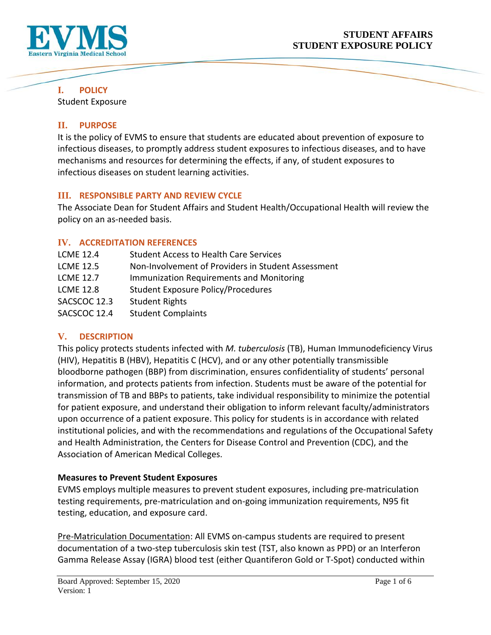

**I. POLICY** 

Student Exposure

## **II. PURPOSE**

It is the policy of EVMS to ensure that students are educated about prevention of exposure to infectious diseases, to promptly address student exposures to infectious diseases, and to have mechanisms and resources for determining the effects, if any, of student exposures to infectious diseases on student learning activities.

### **III. RESPONSIBLE PARTY AND REVIEW CYCLE**

The Associate Dean for Student Affairs and Student Health/Occupational Health will review the policy on an as-needed basis.

## **IV. ACCREDITATION REFERENCES**

| <b>LCME 12.4</b> | <b>Student Access to Health Care Services</b>      |
|------------------|----------------------------------------------------|
| <b>LCME 12.5</b> | Non-Involvement of Providers in Student Assessment |
| <b>LCME 12.7</b> | Immunization Requirements and Monitoring           |
| <b>LCME 12.8</b> | <b>Student Exposure Policy/Procedures</b>          |
| SACSCOC 12.3     | <b>Student Rights</b>                              |
| SACSCOC 12.4     | <b>Student Complaints</b>                          |

# **V. DESCRIPTION**

This policy protects students infected with *M. tuberculosis* (TB), Human Immunodeficiency Virus (HIV), Hepatitis B (HBV), Hepatitis C (HCV), and or any other potentially transmissible bloodborne pathogen (BBP) from discrimination, ensures confidentiality of students' personal information, and protects patients from infection. Students must be aware of the potential for transmission of TB and BBPs to patients, take individual responsibility to minimize the potential for patient exposure, and understand their obligation to inform relevant faculty/administrators upon occurrence of a patient exposure. This policy for students is in accordance with related institutional policies, and with the recommendations and regulations of the Occupational Safety and Health Administration, the Centers for Disease Control and Prevention (CDC), and the Association of American Medical Colleges.

### **Measures to Prevent Student Exposures**

EVMS employs multiple measures to prevent student exposures, including pre-matriculation testing requirements, pre-matriculation and on-going immunization requirements, N95 fit testing, education, and exposure card.

Pre-Matriculation Documentation: All EVMS on-campus students are required to present documentation of a two-step tuberculosis skin test (TST, also known as PPD) or an Interferon Gamma Release Assay (IGRA) blood test (either Quantiferon Gold or T-Spot) conducted within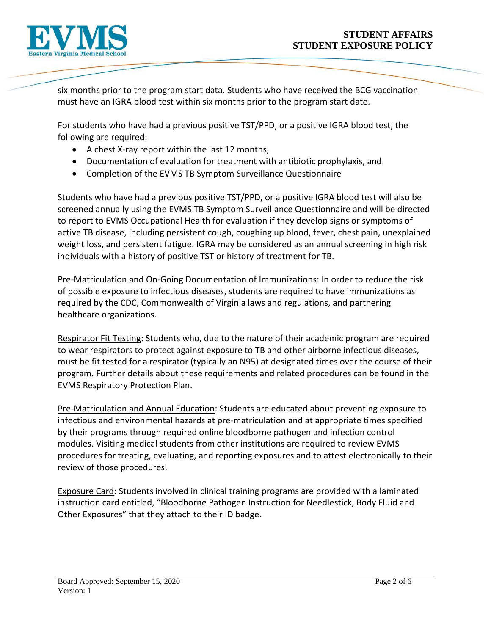

six months prior to the program start data. Students who have received the BCG vaccination must have an IGRA blood test within six months prior to the program start date.

For students who have had a previous positive TST/PPD, or a positive IGRA blood test, the following are required:

- A chest X-ray report within the last 12 months,
- Documentation of evaluation for treatment with antibiotic prophylaxis, and
- Completion of the EVMS TB Symptom Surveillance Questionnaire

Students who have had a previous positive TST/PPD, or a positive IGRA blood test will also be screened annually using the EVMS TB Symptom Surveillance Questionnaire and will be directed to report to EVMS Occupational Health for evaluation if they develop signs or symptoms of active TB disease, including persistent cough, coughing up blood, fever, chest pain, unexplained weight loss, and persistent fatigue. IGRA may be considered as an annual screening in high risk individuals with a history of positive TST or history of treatment for TB.

Pre-Matriculation and On-Going Documentation of Immunizations: In order to reduce the risk of possible exposure to infectious diseases, students are required to have immunizations as required by the CDC, Commonwealth of Virginia laws and regulations, and partnering healthcare organizations.

Respirator Fit Testing: Students who, due to the nature of their academic program are required to wear respirators to protect against exposure to TB and other airborne infectious diseases, must be fit tested for a respirator (typically an N95) at designated times over the course of their program. Further details about these requirements and related procedures can be found in the EVMS Respiratory Protection Plan.

Pre-Matriculation and Annual Education: Students are educated about preventing exposure to infectious and environmental hazards at pre-matriculation and at appropriate times specified by their programs through required online bloodborne pathogen and infection control modules. Visiting medical students from other institutions are required to review EVMS procedures for treating, evaluating, and reporting exposures and to attest electronically to their review of those procedures.

Exposure Card: Students involved in clinical training programs are provided with a laminated instruction card entitled, "Bloodborne Pathogen Instruction for Needlestick, Body Fluid and Other Exposures" that they attach to their ID badge.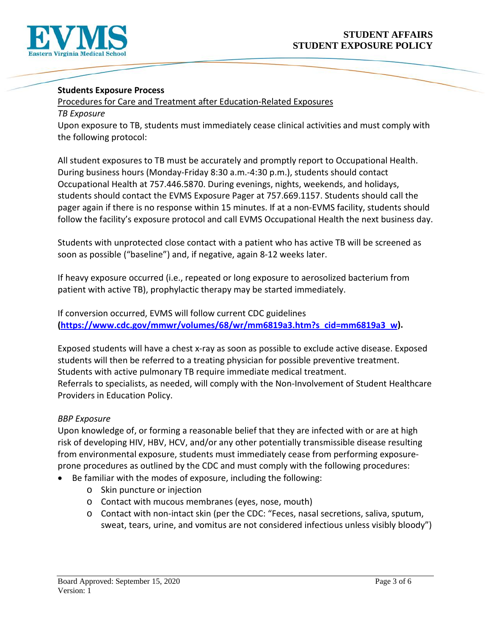

#### **Students Exposure Process**

Procedures for Care and Treatment after Education-Related Exposures

#### *TB Exposure*

Upon exposure to TB, students must immediately cease clinical activities and must comply with the following protocol:

All student exposures to TB must be accurately and promptly report to Occupational Health. During business hours (Monday-Friday 8:30 a.m.-4:30 p.m.), students should contact Occupational Health at 757.446.5870. During evenings, nights, weekends, and holidays, students should contact the EVMS Exposure Pager at 757.669.1157. Students should call the pager again if there is no response within 15 minutes. If at a non-EVMS facility, students should follow the facility's exposure protocol and call EVMS Occupational Health the next business day.

Students with unprotected close contact with a patient who has active TB will be screened as soon as possible ("baseline") and, if negative, again 8-12 weeks later.

If heavy exposure occurred (i.e., repeated or long exposure to aerosolized bacterium from patient with active TB), prophylactic therapy may be started immediately.

If conversion occurred, EVMS will follow current CDC guidelines **[\(https://www.cdc.gov/mmwr/volumes/68/wr/mm6819a3.htm?s\\_cid=mm6819a3\\_w\)](https://www.cdc.gov/mmwr/volumes/68/wr/mm6819a3.htm?s_cid=mm6819a3_w).** 

Exposed students will have a chest x-ray as soon as possible to exclude active disease. Exposed students will then be referred to a treating physician for possible preventive treatment. Students with active pulmonary TB require immediate medical treatment. Referrals to specialists, as needed, will comply with the Non-Involvement of Student Healthcare Providers in Education Policy.

#### *BBP Exposure*

Upon knowledge of, or forming a reasonable belief that they are infected with or are at high risk of developing HIV, HBV, HCV, and/or any other potentially transmissible disease resulting from environmental exposure, students must immediately cease from performing exposureprone procedures as outlined by the CDC and must comply with the following procedures:

- Be familiar with the modes of exposure, including the following:
	- o Skin puncture or injection
	- o Contact with mucous membranes (eyes, nose, mouth)
	- o Contact with non-intact skin (per the CDC: "Feces, nasal secretions, saliva, sputum, sweat, tears, urine, and vomitus are not considered infectious unless visibly bloody")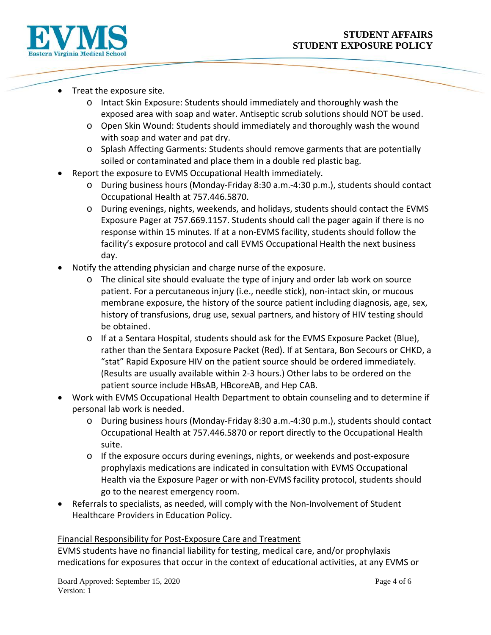

- Treat the exposure site.
	- o Intact Skin Exposure: Students should immediately and thoroughly wash the exposed area with soap and water. Antiseptic scrub solutions should NOT be used.
	- o Open Skin Wound: Students should immediately and thoroughly wash the wound with soap and water and pat dry.
	- o Splash Affecting Garments: Students should remove garments that are potentially soiled or contaminated and place them in a double red plastic bag.
- Report the exposure to EVMS Occupational Health immediately.
	- o During business hours (Monday-Friday 8:30 a.m.-4:30 p.m.), students should contact Occupational Health at 757.446.5870.
	- o During evenings, nights, weekends, and holidays, students should contact the EVMS Exposure Pager at 757.669.1157. Students should call the pager again if there is no response within 15 minutes. If at a non-EVMS facility, students should follow the facility's exposure protocol and call EVMS Occupational Health the next business day.
- Notify the attending physician and charge nurse of the exposure.
	- $\circ$  The clinical site should evaluate the type of injury and order lab work on source patient. For a percutaneous injury (i.e., needle stick), non-intact skin, or mucous membrane exposure, the history of the source patient including diagnosis, age, sex, history of transfusions, drug use, sexual partners, and history of HIV testing should be obtained.
	- o If at a Sentara Hospital, students should ask for the EVMS Exposure Packet (Blue), rather than the Sentara Exposure Packet (Red). If at Sentara, Bon Secours or CHKD, a "stat" Rapid Exposure HIV on the patient source should be ordered immediately. (Results are usually available within 2-3 hours.) Other labs to be ordered on the patient source include HBsAB, HBcoreAB, and Hep CAB.
- Work with EVMS Occupational Health Department to obtain counseling and to determine if personal lab work is needed.
	- o During business hours (Monday-Friday 8:30 a.m.-4:30 p.m.), students should contact Occupational Health at 757.446.5870 or report directly to the Occupational Health suite.
	- o If the exposure occurs during evenings, nights, or weekends and post-exposure prophylaxis medications are indicated in consultation with EVMS Occupational Health via the Exposure Pager or with non-EVMS facility protocol, students should go to the nearest emergency room.
- Referrals to specialists, as needed, will comply with the Non-Involvement of Student Healthcare Providers in Education Policy.

#### Financial Responsibility for Post-Exposure Care and Treatment

EVMS students have no financial liability for testing, medical care, and/or prophylaxis medications for exposures that occur in the context of educational activities, at any EVMS or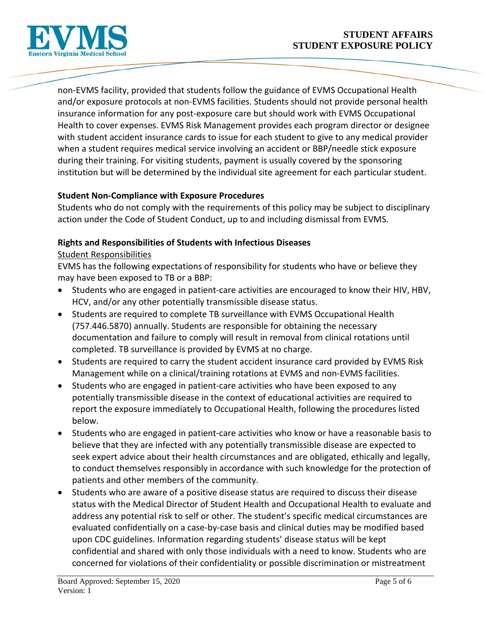

non-EVMS facility, provided that students follow the guidance of EVMS Occupational Health and/or exposure protocols at non-EVMS facilities. Students should not provide personal health insurance information for any post-exposure care but should work with EVMS Occupational Health to cover expenses. EVMS Risk Management provides each program director or designee with student accident insurance cards to issue for each student to give to any medical provider when a student requires medical service involving an accident or BBP/needle stick exposure during their training. For visiting students, payment is usually covered by the sponsoring institution but will be determined by the individual site agreement for each particular student.

#### **Student Non-Compliance with Exposure Procedures**

Students who do not comply with the requirements of this policy may be subject to disciplinary action under the Code of Student Conduct, up to and including dismissal from EVMS.

### **Rights and Responsibilities of Students with Infectious Diseases**

#### Student Responsibilities

EVMS has the following expectations of responsibility for students who have or believe they may have been exposed to TB or a BBP:

- Students who are engaged in patient-care activities are encouraged to know their HIV, HBV, HCV, and/or any other potentially transmissible disease status.
- Students are required to complete TB surveillance with EVMS Occupational Health (757.446.5870) annually. Students are responsible for obtaining the necessary documentation and failure to comply will result in removal from clinical rotations until completed. TB surveillance is provided by EVMS at no charge.
- Students are required to carry the student accident insurance card provided by EVMS Risk Management while on a clinical/training rotations at EVMS and non-EVMS facilities.
- Students who are engaged in patient-care activities who have been exposed to any potentially transmissible disease in the context of educational activities are required to report the exposure immediately to Occupational Health, following the procedures listed below.
- Students who are engaged in patient-care activities who know or have a reasonable basis to believe that they are infected with any potentially transmissible disease are expected to seek expert advice about their health circumstances and are obligated, ethically and legally, to conduct themselves responsibly in accordance with such knowledge for the protection of patients and other members of the community.
- Students who are aware of a positive disease status are required to discuss their disease status with the Medical Director of Student Health and Occupational Health to evaluate and address any potential risk to self or other. The student's specific medical circumstances are evaluated confidentially on a case-by-case basis and clinical duties may be modified based upon CDC guidelines. Information regarding students' disease status will be kept confidential and shared with only those individuals with a need to know. Students who are concerned for violations of their confidentiality or possible discrimination or mistreatment